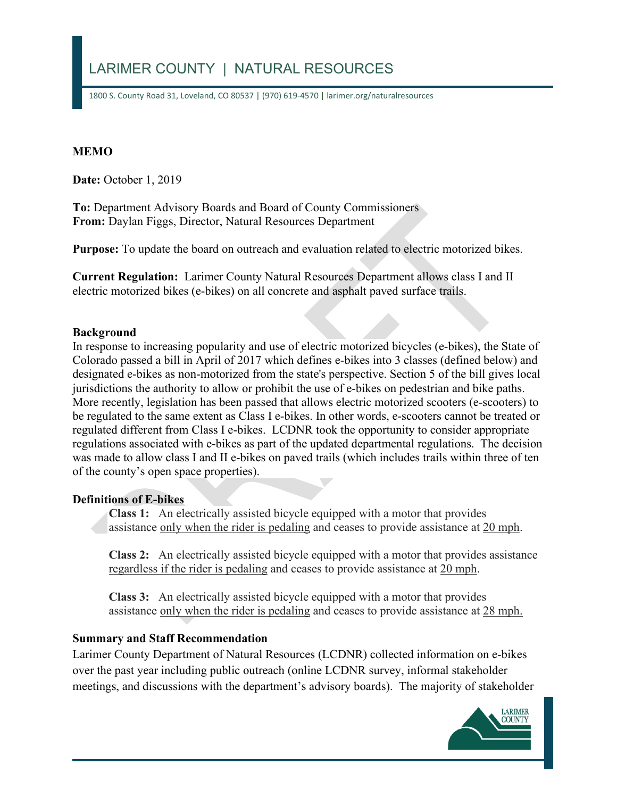# LARIMER COUNTY | NATURAL RESOURCES

1800 S. County Road 31, Loveland, CO 80537 | (970) 619-4570 | larimer.org/naturalresources

### **MEMO**

**Date:** October 1, 2019

**To: Department Advisory Boards and Board of County Commissioners From:** Daylan Figgs, Director, Natural Resources Department

 **Purpose:** To update the board on outreach and evaluation related to electric motorized bikes.

 **Current Regulation:** Larimer County Natural Resources Department allows class I and II electric motorized bikes (e-bikes) on all concrete and asphalt paved surface trails.

#### **Background**

 In response to increasing popularity and use of electric motorized bicycles (e-bikes), the State of was made to allow class I and II e-bikes on paved trails (which includes trails within three of ten Colorado passed a bill in April of 2017 which defines e-bikes into 3 classes (defined below) and designated e-bikes as non-motorized from the state's perspective. Section 5 of the bill gives local jurisdictions the authority to allow or prohibit the use of e-bikes on pedestrian and bike paths. More recently, legislation has been passed that allows electric motorized scooters (e-scooters) to be regulated to the same extent as Class I e-bikes. In other words, e-scooters cannot be treated or regulated different from Class I e-bikes. LCDNR took the opportunity to consider appropriate regulations associated with e-bikes as part of the updated departmental regulations. The decision of the county's open space properties).

#### **Definitions of E-bikes**

 **Class 1:** An electrically assisted bicycle equipped with a motor that provides assistance only when the rider is pedaling and ceases to provide assistance at 20 mph.

 **Class 2:** An electrically assisted bicycle equipped with a motor that provides assistance regardless if the rider is pedaling and ceases to provide assistance at 20 mph.

 **Class 3:** An electrically assisted bicycle equipped with a motor that provides assistance only when the rider is pedaling and ceases to provide assistance at 28 mph.

### **Summary and Staff Recommendation**

 meetings, and discussions with the department's advisory boards). The majority of stakeholder Larimer County Department of Natural Resources (LCDNR) collected information on e-bikes over the past year including public outreach (online LCDNR survey, informal stakeholder

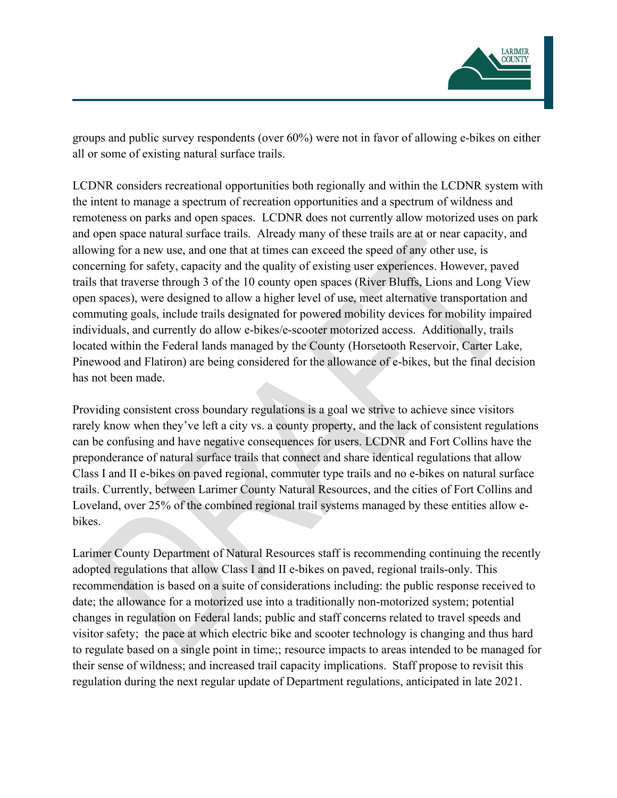

all or some of existing natural surface trails. groups and public survey respondents (over 60%) were not in favor of allowing e-bikes on either

 and open space natural surface trails. Already many of these trails are at or near capacity, and allowing for a new use, and one that at times can exceed the speed of any other use, is individuals, and currently do allow e-bikes/e-scooter motorized access. Additionally, trails LCDNR considers recreational opportunities both regionally and within the LCDNR system with the intent to manage a spectrum of recreation opportunities and a spectrum of wildness and remoteness on parks and open spaces. LCDNR does not currently allow motorized uses on park concerning for safety, capacity and the quality of existing user experiences. However, paved trails that traverse through 3 of the 10 county open spaces (River Bluffs, Lions and Long View open spaces), were designed to allow a higher level of use, meet alternative transportation and commuting goals, include trails designated for powered mobility devices for mobility impaired located within the Federal lands managed by the County (Horsetooth Reservoir, Carter Lake, Pinewood and Flatiron) are being considered for the allowance of e-bikes, but the final decision has not been made.

 preponderance of natural surface trails that connect and share identical regulations that allow Providing consistent cross boundary regulations is a goal we strive to achieve since visitors rarely know when they've left a city vs. a county property, and the lack of consistent regulations can be confusing and have negative consequences for users. LCDNR and Fort Collins have the Class I and II e-bikes on paved regional, commuter type trails and no e-bikes on natural surface trails. Currently, between Larimer County Natural Resources, and the cities of Fort Collins and Loveland, over 25% of the combined regional trail systems managed by these entities allow ebikes.

 Larimer County Department of Natural Resources staff is recommending continuing the recently adopted regulations that allow Class I and II e-bikes on paved, regional trails-only. This visitor safety; the pace at which electric bike and scooter technology is changing and thus hard to regulate based on a single point in time;; resource impacts to areas intended to be managed for recommendation is based on a suite of considerations including: the public response received to date; the allowance for a motorized use into a traditionally non-motorized system; potential changes in regulation on Federal lands; public and staff concerns related to travel speeds and their sense of wildness; and increased trail capacity implications. Staff propose to revisit this regulation during the next regular update of Department regulations, anticipated in late 2021.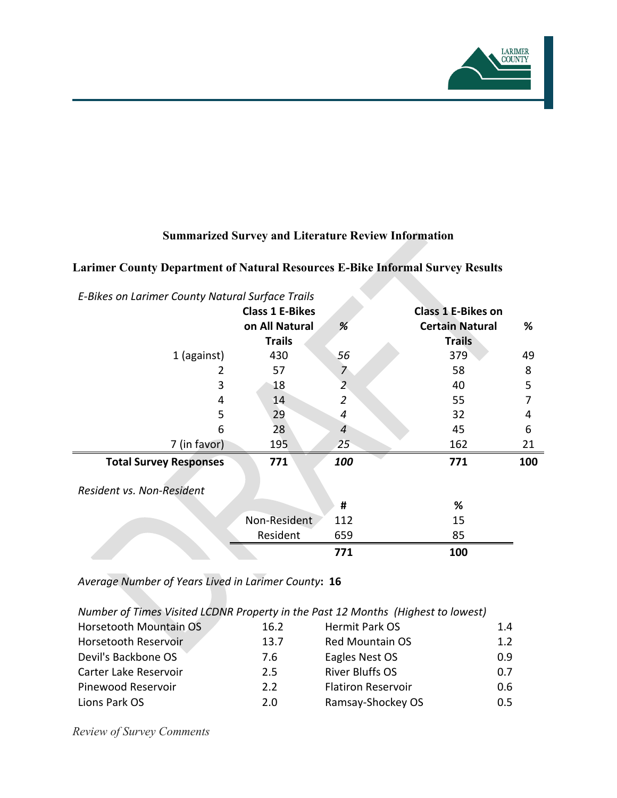

# **Summarized Survey and Literature Review Information**

### **Larimer County Department of Natural Resources E-Bike Informal Survey Results**

| E-Bikes on Larimer County Natural Surface Trails |                        |                           |                        |     |  |
|--------------------------------------------------|------------------------|---------------------------|------------------------|-----|--|
|                                                  | <b>Class 1 E-Bikes</b> | <b>Class 1 E-Bikes on</b> |                        |     |  |
|                                                  | on All Natural         | %                         | <b>Certain Natural</b> | %   |  |
|                                                  | <b>Trails</b>          |                           | <b>Trails</b>          |     |  |
| 1 (against)                                      | 430                    | 56                        | 379                    | 49  |  |
|                                                  | 57                     | $\overline{7}$            | 58                     | 8   |  |
| 3                                                | 18                     | 2                         | 40                     | 5   |  |
| 4                                                | 14                     | $\overline{2}$            | 55                     |     |  |
| 5                                                | 29                     | 4                         | 32                     | 4   |  |
| 6                                                | 28                     | 4                         | 45                     | 6   |  |
| 7 (in favor)                                     | 195                    | $25^{\circ}$              | 162                    | 21  |  |
| <b>Total Survey Responses</b>                    | 771                    | 100                       | 771                    | 100 |  |
| Resident vs. Non-Resident                        |                        |                           |                        |     |  |
|                                                  |                        | #                         | %                      |     |  |
|                                                  | Non-Resident           | 112                       | 15                     |     |  |
|                                                  | Resident               |                           | 85                     |     |  |
|                                                  |                        | 771                       | 100                    |     |  |

*Average Number of Years Lived in Larimer County***: 16** 

 *Number of Times Visited LCDNR Property in the Past 12 Months (Highest to lowest)* 

| Horsetooth Mountain OS      | 16.2 | Hermit Park OS            | 1.4                                                |
|-----------------------------|------|---------------------------|----------------------------------------------------|
| <b>Horsetooth Reservoir</b> | 13.7 | <b>Red Mountain OS</b>    | 1.2 <sub>1</sub><br>0.9 <sup>°</sup><br>0.7<br>0.6 |
| Devil's Backbone OS         | 7.6  | Eagles Nest OS            |                                                    |
| Carter Lake Reservoir       | 2.5  | <b>River Bluffs OS</b>    |                                                    |
| Pinewood Reservoir          | 2.2  | <b>Flatiron Reservoir</b> |                                                    |
| Lions Park OS               | 2.0  | Ramsay-Shockey OS         | $0.5^{\circ}$                                      |

*Review of Survey Comments*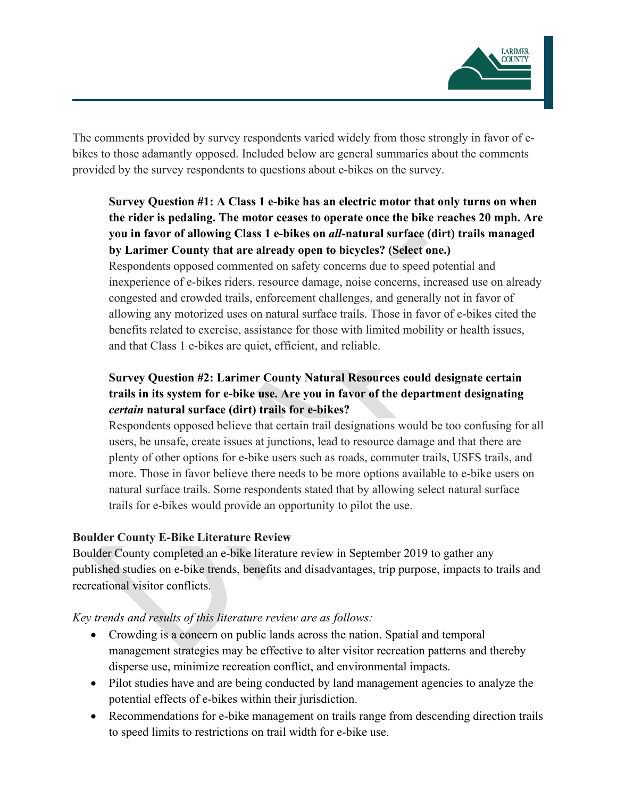

The comments provided by survey respondents varied widely from those strongly in favor of ebikes to those adamantly opposed. Included below are general summaries about the comments provided by the survey respondents to questions about e-bikes on the survey.

# **Survey Question #1: A Class 1 e-bike has an electric motor that only turns on when the rider is pedaling. The motor ceases to operate once the bike reaches 20 mph. Are you in favor of allowing Class 1 e-bikes on** *all***-natural surface (dirt) trails managed by Larimer County that are already open to bicycles? (Select one.)**

 Respondents opposed commented on safety concerns due to speed potential and inexperience of e-bikes riders, resource damage, noise concerns, increased use on already congested and crowded trails, enforcement challenges, and generally not in favor of allowing any motorized uses on natural surface trails. Those in favor of e-bikes cited the benefits related to exercise, assistance for those with limited mobility or health issues, and that Class 1 e-bikes are quiet, efficient, and reliable.

# **Survey Question #2: Larimer County Natural Resources could designate certain trails in its system for e-bike use. Are you in favor of the department designating**  *certain* **natural surface (dirt) trails for e-bikes?**

 trails for e-bikes would provide an opportunity to pilot the use. Respondents opposed believe that certain trail designations would be too confusing for all users, be unsafe, create issues at junctions, lead to resource damage and that there are plenty of other options for e-bike users such as roads, commuter trails, USFS trails, and more. Those in favor believe there needs to be more options available to e-bike users on natural surface trails. Some respondents stated that by allowing select natural surface

### **Boulder County E-Bike Literature Review**

 published studies on e-bike trends, benefits and disadvantages, trip purpose, impacts to trails and Boulder County completed an e-bike literature review in September 2019 to gather any recreational visitor conflicts.

# *Key trends and results of this literature review are as follows:*

- management strategies may be effective to alter visitor recreation patterns and thereby • Crowding is a concern on public lands across the nation. Spatial and temporal disperse use, minimize recreation conflict, and environmental impacts.
- Pilot studies have and are being conducted by land management agencies to analyze the potential effects of e-bikes within their jurisdiction.
- Recommendations for e-bike management on trails range from descending direction trails to speed limits to restrictions on trail width for e-bike use.